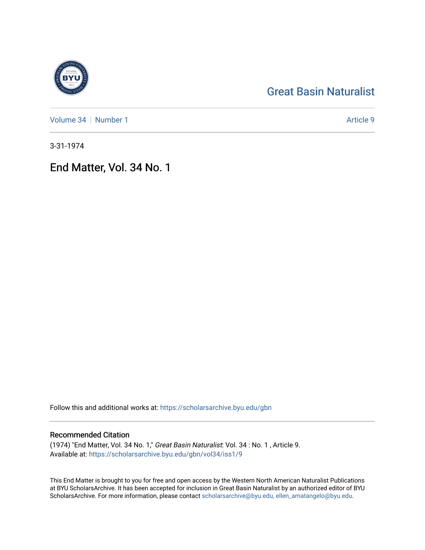## [Great Basin Naturalist](https://scholarsarchive.byu.edu/gbn)

[Volume 34](https://scholarsarchive.byu.edu/gbn/vol34) [Number 1](https://scholarsarchive.byu.edu/gbn/vol34/iss1) Article 9

3-31-1974

End Matter, Vol. 34 No. 1

Follow this and additional works at: [https://scholarsarchive.byu.edu/gbn](https://scholarsarchive.byu.edu/gbn?utm_source=scholarsarchive.byu.edu%2Fgbn%2Fvol34%2Fiss1%2F9&utm_medium=PDF&utm_campaign=PDFCoverPages) 

## Recommended Citation

(1974) "End Matter, Vol. 34 No. 1," Great Basin Naturalist: Vol. 34 : No. 1 , Article 9. Available at: [https://scholarsarchive.byu.edu/gbn/vol34/iss1/9](https://scholarsarchive.byu.edu/gbn/vol34/iss1/9?utm_source=scholarsarchive.byu.edu%2Fgbn%2Fvol34%2Fiss1%2F9&utm_medium=PDF&utm_campaign=PDFCoverPages)

This End Matter is brought to you for free and open access by the Western North American Naturalist Publications at BYU ScholarsArchive. It has been accepted for inclusion in Great Basin Naturalist by an authorized editor of BYU ScholarsArchive. For more information, please contact [scholarsarchive@byu.edu, ellen\\_amatangelo@byu.edu.](mailto:scholarsarchive@byu.edu,%20ellen_amatangelo@byu.edu)

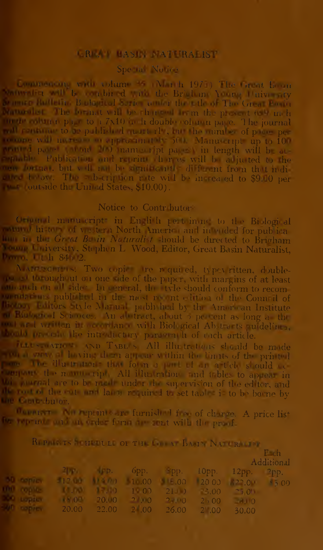### **CREAT BASIN NATURALIST**

# $\bf$  Special Notice  $\bf$

Eoutoen.in. with volume 35 (March 1971) The Great boom prace will be combined with the Brigham Young University o mere Bulletin, Biological Series under the title of The Great Basin Matter is the form the following the present  $6.9$  in  $\hbar$ ence column page to a  $7x10$  in h double column page. The journal will continue to be published quarterly, but the number of pages per ionope will increase in approximately  $500$ . Manuscripts up to  $100$  $\begin{bmatrix} 1 & 0 & 0 \\ 0 & 0 & 0 \\ 0 & 0 & 0 \end{bmatrix}$  manuscript pages) in length will be ac-Ibble. Publication and reprint charges will be adjusted to the <sup>r</sup> format, but will not be significantly different from that indi $r_1$  below. The subscription rate will be increased to \$9.00 per  $\blacksquare$  Toutside the United States, \$10.00).

#### Notice to Contributors

Original manuscript in English pertaining to the Biological **Example 1 In the of vestern North America and intended for publica-**<br>Line in the Gr of Be in Naturalist should be directed to Brigham Iown University, Stephen L. Wood, Editor, Great Basin Naturalist, Storian University, Storbich, Editor, Great Basin Naturalist,

io, Utah 846-2.<br>Atarawarensi: Two copies are required, typewritten, double-The set to ough ut on one side of the paper, with margins of at least idations published in the most recent edition of the Council of Io ;ors Style Manual, published by the American Institute Biological Sciences. An abstract, about 3 percent as long as the wat ar 1 written in accordance with Biological Abstracts guidelines, Did precede the introductory'' paragraph of each article.

Illustrations and Tables: All illustrations should be made I was a having them appear within the limits of the printed contract the direction of the direction of the direction of the direction of the direction of the direction of the direction of the direction of the direction of we part il a namuscript. All illustrations and tables to appear in **in** image if are to be made under the supervision of the editor, and de root of the cuts and labor required to set tables is to be borne by the Contributor,

**No reprints are furnished free of charge.** A price list be reprinte and an order form are sent with the proof.

| REPRESENTED THE CONTRACTOR<br>$F = ch$ |                                                                                                               |  |  |  |  |                                          |  |  |
|----------------------------------------|---------------------------------------------------------------------------------------------------------------|--|--|--|--|------------------------------------------|--|--|
|                                        |                                                                                                               |  |  |  |  | Additional                               |  |  |
|                                        |                                                                                                               |  |  |  |  | <b>2</b> мар. 6рр. 5рр. 10рр. 12рр. 2рр. |  |  |
|                                        | <b>10 copies 12 12 11 11 11 00 120 122 00 122 00 122 10 122 10</b>                                            |  |  |  |  |                                          |  |  |
|                                        | 00 mg/kg = 10.00 1.00 10.00 10.00 10.00 10.000 10.000 10.000 10.000 10.000 10.000 10.000 10.000 10.000 10.000 |  |  |  |  |                                          |  |  |
| <b>Red Loplay</b>                      |                                                                                                               |  |  |  |  |                                          |  |  |
|                                        | <b>ALC</b> replies $20.00$ $22.00$ $2$ $00$ $26.00$ $2$ $00$                                                  |  |  |  |  | $-30.00$                                 |  |  |